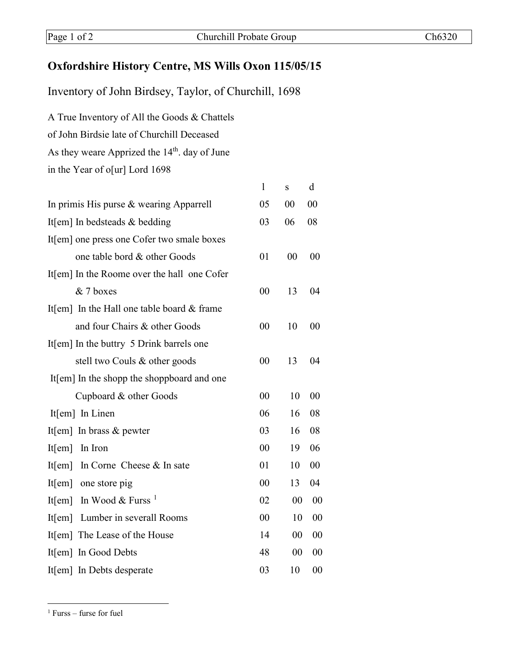## **Oxfordshire History Centre, MS Wills Oxon 115/05/15**

Inventory of John Birdsey, Taylor, of Churchill, 1698

A True Inventory of All the Goods & Chattels of John Birdsie late of Churchill Deceased As they weare Apprized the 14<sup>th</sup>. day of June in the Year of o[ur] Lord 1698

| $\mathbf{1}$ | $\bf S$ | d  |
|--------------|---------|----|
| 05           | 00      | 00 |
| 03           | 06      | 08 |
|              |         |    |
| 01           | 00      | 00 |
|              |         |    |
| 00           | 13      | 04 |
|              |         |    |
| 00           | 10      | 00 |
|              |         |    |
| 00           | 13      | 04 |
|              |         |    |
| 00           | 10      | 00 |
| 06           | 16      | 08 |
| 03           | 16      | 08 |
| 00           | 19      | 06 |
| 01           | 10      | 00 |
| 00           | 13      | 04 |
| 02           | 00      | 00 |
| 00           | 10      | 00 |
| 14           | 00      | 00 |
| 48           | 00      | 00 |
| 03           | 10      | 00 |
|              |         |    |

<span id="page-0-0"></span><sup>1</sup> Furss – furse for fuel